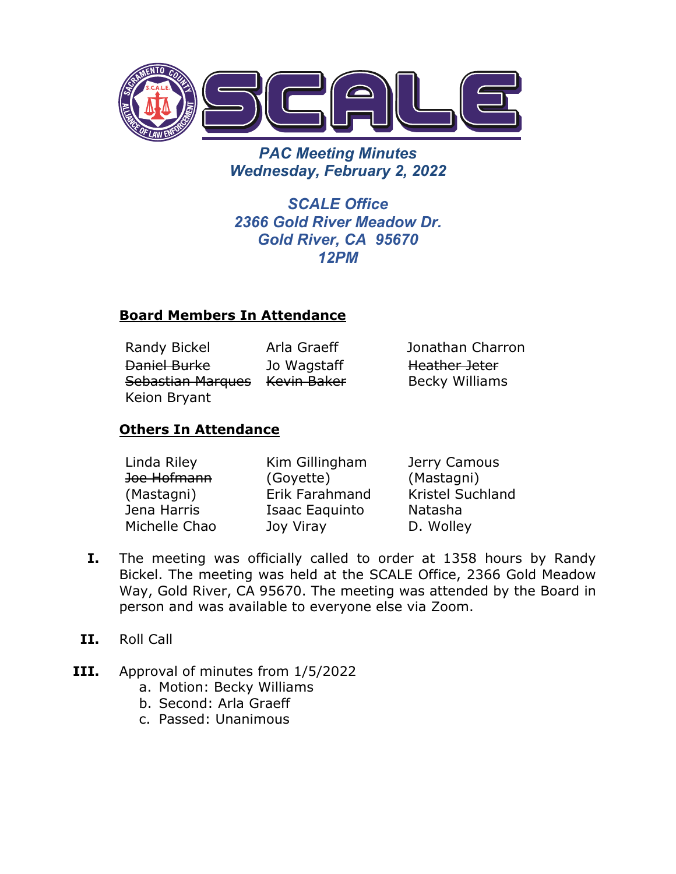

*PAC Meeting Minutes Wednesday, February 2, 2022*

*SCALE Office 2366 Gold River Meadow Dr. Gold River, CA 95670 12PM*

#### **Board Members In Attendance**

Randy Bickel Arla Graeff Jonathan Charron Daniel Burke Sebastian Marques Kevin Baker Keion Bryant Jo Wagstaff

Heather Jeter Becky Williams

## **Others In Attendance**

| Linda Riley   | Kim Gillingham | Jerry Camous            |
|---------------|----------------|-------------------------|
| Joe Hofmann   | (Goyette)      | (Mastagni)              |
| (Mastagni)    | Erik Farahmand | <b>Kristel Suchland</b> |
| Jena Harris   | Isaac Eaguinto | Natasha                 |
| Michelle Chao | Joy Viray      | D. Wolley               |

- **I.** The meeting was officially called to order at 1358 hours by Randy Bickel. The meeting was held at the SCALE Office, 2366 Gold Meadow Way, Gold River, CA 95670. The meeting was attended by the Board in person and was available to everyone else via Zoom.
- **II.** Roll Call
- **III.** Approval of minutes from 1/5/2022
	- a. Motion: Becky Williams
	- b. Second: Arla Graeff
	- c. Passed: Unanimous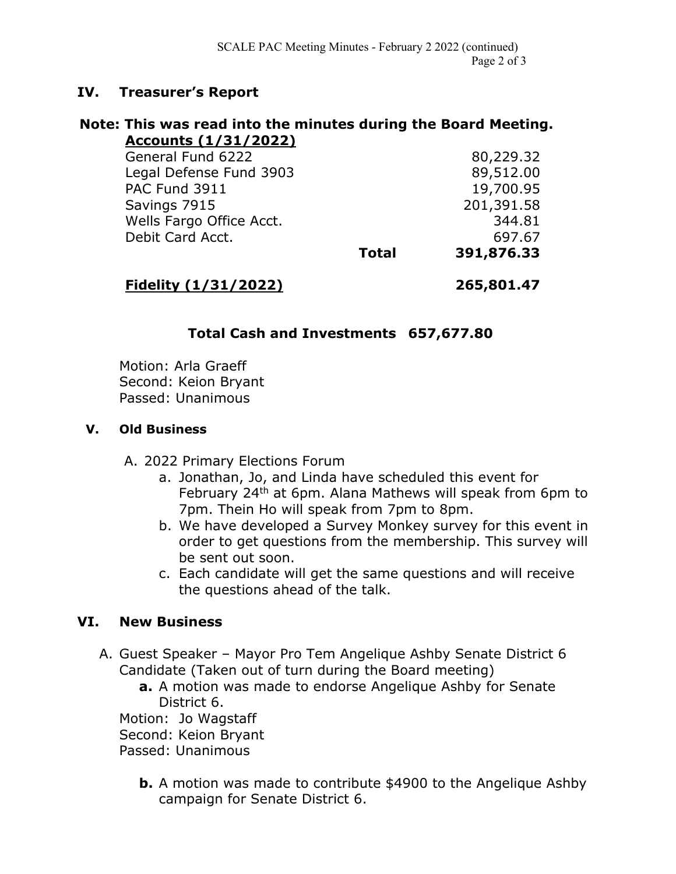#### **IV. Treasurer's Report**

#### **Note: This was read into the minutes during the Board Meeting. Accounts (1/31/2022)**

| PAC Fund 3911<br>Savings 7915 |              | 19,700.95<br>201,391.58 |
|-------------------------------|--------------|-------------------------|
| Wells Fargo Office Acct.      |              | 344.81                  |
| Debit Card Acct.              |              | 697.67                  |
|                               | <b>Total</b> | 391,876.33              |

**Fidelity (1/31/2022) 265,801.47**

## **Total Cash and Investments 657,677.80**

Motion: Arla Graeff Second: Keion Bryant Passed: Unanimous

#### **V. Old Business**

- A. 2022 Primary Elections Forum
	- a. Jonathan, Jo, and Linda have scheduled this event for February 24th at 6pm. Alana Mathews will speak from 6pm to 7pm. Thein Ho will speak from 7pm to 8pm.
	- b. We have developed a Survey Monkey survey for this event in order to get questions from the membership. This survey will be sent out soon.
	- c. Each candidate will get the same questions and will receive the questions ahead of the talk.

## **VI. New Business**

- A. Guest Speaker Mayor Pro Tem Angelique Ashby Senate District 6 Candidate (Taken out of turn during the Board meeting)
	- **a.** A motion was made to endorse Angelique Ashby for Senate District 6.

Motion: Jo Wagstaff

Second: Keion Bryant

- Passed: Unanimous
	- **b.** A motion was made to contribute \$4900 to the Angelique Ashby campaign for Senate District 6.